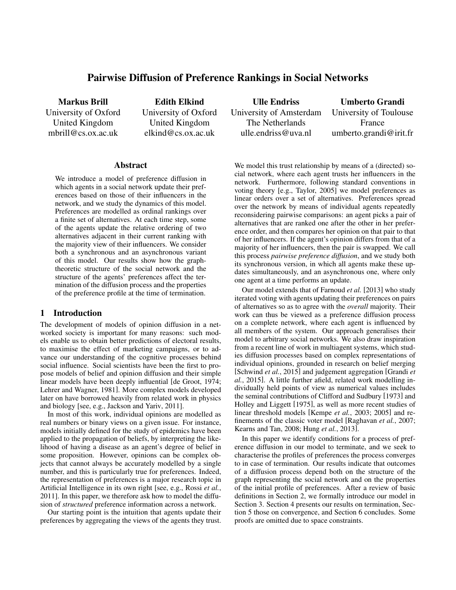# Pairwise Diffusion of Preference Rankings in Social Networks

Markus Brill University of Oxford United Kingdom mbrill@cs.ox.ac.uk

Edith Elkind University of Oxford United Kingdom elkind@cs.ox.ac.uk

Abstract

We introduce a model of preference diffusion in which agents in a social network update their preferences based on those of their influencers in the network, and we study the dynamics of this model. Preferences are modelled as ordinal rankings over a finite set of alternatives. At each time step, some of the agents update the relative ordering of two alternatives adjacent in their current ranking with the majority view of their influencers. We consider both a synchronous and an asynchronous variant of this model. Our results show how the graphtheoretic structure of the social network and the structure of the agents' preferences affect the termination of the diffusion process and the properties of the preference profile at the time of termination.

# 1 Introduction

The development of models of opinion diffusion in a networked society is important for many reasons: such models enable us to obtain better predictions of electoral results, to maximise the effect of marketing campaigns, or to advance our understanding of the cognitive processes behind social influence. Social scientists have been the first to propose models of belief and opinion diffusion and their simple linear models have been deeply influential [de Groot, 1974; Lehrer and Wagner, 1981]. More complex models developed later on have borrowed heavily from related work in physics and biology [see, e.g., Jackson and Yariv, 2011].

In most of this work, individual opinions are modelled as real numbers or binary views on a given issue. For instance, models initially defined for the study of epidemics have been applied to the propagation of beliefs, by interpreting the likelihood of having a disease as an agent's degree of belief in some proposition. However, opinions can be complex objects that cannot always be accurately modelled by a single number, and this is particularly true for preferences. Indeed, the representation of preferences is a major research topic in Artificial Intelligence in its own right [see, e.g., Rossi *et al.*, 2011]. In this paper, we therefore ask how to model the diffusion of *structured* preference information across a network.

Our starting point is the intuition that agents update their preferences by aggregating the views of the agents they trust.

Ulle Endriss University of Amsterdam The Netherlands ulle.endriss@uva.nl

Umberto Grandi University of Toulouse France umberto.grandi@irit.fr

We model this trust relationship by means of a (directed) social network, where each agent trusts her influencers in the network. Furthermore, following standard conventions in voting theory [e.g., Taylor, 2005] we model preferences as linear orders over a set of alternatives. Preferences spread over the network by means of individual agents repeatedly reconsidering pairwise comparisons: an agent picks a pair of alternatives that are ranked one after the other in her preference order, and then compares her opinion on that pair to that of her influencers. If the agent's opinion differs from that of a majority of her influencers, then the pair is swapped. We call this process *pairwise preference diffusion*, and we study both its synchronous version, in which all agents make these updates simultaneously, and an asynchronous one, where only one agent at a time performs an update.

Our model extends that of Farnoud *et al.* [2013] who study iterated voting with agents updating their preferences on pairs of alternatives so as to agree with the *overall* majority. Their work can thus be viewed as a preference diffusion process on a complete network, where each agent is influenced by all members of the system. Our approach generalises their model to arbitrary social networks. We also draw inspiration from a recent line of work in multiagent systems, which studies diffusion processes based on complex representations of individual opinions, grounded in research on belief merging [Schwind *et al.*, 2015] and judgement aggregation [Grandi *et al.*, 2015]. A little further afield, related work modelling individually held points of view as numerical values includes the seminal contributions of Clifford and Sudbury [1973] and Holley and Liggett [1975], as well as more recent studies of linear threshold models [Kempe *et al.*, 2003; 2005] and refinements of the classic voter model [Raghavan *et al.*, 2007; Kearns and Tan, 2008; Hung *et al.*, 2013].

In this paper we identify conditions for a process of preference diffusion in our model to terminate, and we seek to characterise the profiles of preferences the process converges to in case of termination. Our results indicate that outcomes of a diffusion process depend both on the structure of the graph representing the social network and on the properties of the initial profile of preferences. After a review of basic definitions in Section 2, we formally introduce our model in Section 3. Section 4 presents our results on termination, Section 5 those on convergence, and Section 6 concludes. Some proofs are omitted due to space constraints.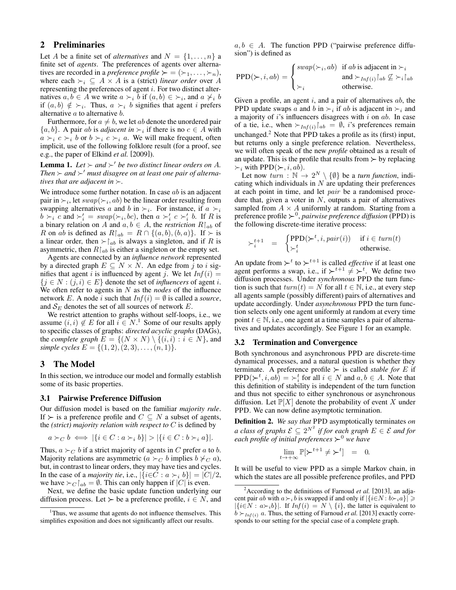# 2 Preliminaries

Let A be a finite set of *alternatives* and  $N = \{1, \ldots, n\}$  a finite set of *agents*. The preferences of agents over alternatives are recorded in a *preference profile*  $\succ = (\succ_1, \ldots, \succ_n)$ , where each  $\succ_i \subseteq A \times A$  is a (strict) *linear order* over A representing the preferences of agent i. For two distinct alternatives  $a, b \in A$  we write  $a \succ_i b$  if  $(a, b) \in \succ_i$ , and  $a \not\succ_i b$ if  $(a, b) \notin \succeq_i$ . Thus,  $a \succeq_i b$  signifies that agent i prefers alternative  $a$  to alternative  $b$ .

Furthermore, for  $a \neq b$ , we let ab denote the unordered pair  $\{a, b\}$ . A pair *ab* is *adjacent in*  $\succ_i$  if there is no  $c \in A$  with  $a \succ_i c \succ_i b$  or  $b \succ_i c \succ_i a$ . We will make frequent, often implicit, use of the following folklore result (for a proof, see e.g., the paper of Elkind *et al.* [2009]).

**Lemma 1.** Let  $\succ$  and  $\succ'$  be two distinct linear orders on A. Then  $\succ$  and  $\succ'$  must disagree on at least one pair of alterna*tives that are adjacent in*  $\succ$ .

We introduce some further notation. In case  $ab$  is an adjacent pair in  $\succ_i$ , let  $swap(\succ_i, ab)$  be the linear order resulting from swapping alternatives a and b in  $\succ_i$ . For instance, if  $a \succ_i$  $b \succ_i c$  and  $\succ'_i = swap(\succ_i, bc)$ , then  $a \succ'_i c \succ'_i b$ . If R is a binary relation on A and  $a, b \in A$ , the *restriction*  $R|_{ab}$  of R on ab is defined as  $R|_{ab} = R \cap \{(a, b), (b, a)\}\$ . If  $\succ$  is a linear order, then  $\succ$   $\upharpoonright_{ab}$  is always a singleton, and if R is asymmetric, then  $R|_{ab}$  is either a singleton or the empty set.

Agents are connected by an *influence network* represented by a directed graph  $E \subseteq N \times N$ . An edge from j to i signifies that agent i is influenced by agent j. We let  $Inf(i)$  $\{j \in N : (j, i) \in E\}$  denote the set of *influencers* of agent *i*. We often refer to agents in N as the *nodes* of the influence network E. A node i such that  $Inf(i) = \emptyset$  is called a *source*, and  $S_E$  denotes the set of all sources of network E.

We restrict attention to graphs without self-loops, i.e., we assume  $(i, i) \notin E$  for all  $i \in N$ .<sup>1</sup> Some of our results apply to specific classes of graphs: *directed acyclic graphs* (DAGs), the *complete graph*  $E = \{(N \times N) \setminus \{(i, i) : i \in N\}$ , and *simple cycles*  $E = \{(1, 2), (2, 3), \ldots, (n, 1)\}.$ 

# 3 The Model

In this section, we introduce our model and formally establish some of its basic properties.

#### 3.1 Pairwise Preference Diffusion

Our diffusion model is based on the familiar *majority rule*. If  $\succ$  is a preference profile and  $C \subseteq N$  a subset of agents, the *(strict) majority relation with respect to* C is defined by

$$
a \succ_C b \iff |\{i \in C : a \succ_i b\}| > |\{i \in C : b \succ_i a\}|.
$$

Thus,  $a \succ_C b$  if a strict majority of agents in C prefer a to b. Majority relations are asymmetric ( $a \succ_C b$  implies  $b \not\succ_C a$ ), but, in contrast to linear orders, they may have ties and cycles. In the case of a *majority tie*, i.e.,  $|\{i \in \mathbb{C} : a \succ_i b\}| = |C|/2$ , we have  $\succ_C |_{ab} = \emptyset$ . This can only happen if  $|C|$  is even.

Next, we define the basic update function underlying our diffusion process. Let  $\succ$  be a preference profile,  $i \in N$ , and  $a, b \in A$ . The function PPD ("pairwise preference diffusion") is defined as

$$
PPD(\succ, i, ab) = \begin{cases} swap(\succ_i, ab) & \text{if } ab \text{ is adjacent in } \succ_i \\ \succ_i & \text{and } \succ_{Inf(i)} \upharpoonright_{ab} \not\subseteq \succ_i \upharpoonright_{ab} \\ \succ_i & \text{otherwise.} \end{cases}
$$

Given a profile, an agent  $i$ , and a pair of alternatives  $ab$ , the PPD update swaps a and b in  $\succ_i$  if ab is adjacent in  $\succ_i$  and a majority of  $i$ 's influencers disagrees with  $i$  on  $ab$ . In case of a tie, i.e., when  $\succ_{Inf(i)}[ab = \emptyset, i]$ 's preferences remain unchanged.<sup>2</sup> Note that PPD takes a profile as its (first) input, but returns only a single preference relation. Nevertheless, we will often speak of the new *profile* obtained as a result of an update. This is the profile that results from  $\succ$  by replacing  $\succ_i$  with PPD( $\succ$ , *i*, *ab*).

Let now  $turn : \mathbb{N} \to 2^N \setminus \{\emptyset\}$  be a *turn function*, indicating which individuals in  $N$  are updating their preferences at each point in time, and let pair be a randomised procedure that, given a voter in  $N$ , outputs a pair of alternatives sampled from  $A \times A$  uniformly at random. Starting from a preference profile <sup>0</sup> , *pairwise preference diffusion* (PPD) is the following discrete-time iterative process:

$$
\succ_i^{t+1} = \begin{cases} \operatorname{PPD}(\succ^t, i, pair(i)) & \text{if } i \in turn(t) \\ \succ_i^t & \text{otherwise.} \end{cases}
$$

An update from  $\succ^t$  to  $\succ^{t+1}$  is called *effective* if at least one agent performs a swap, i.e., if  $\succ^{t+1} \neq \succ^{t}$ . We define two diffusion processes. Under *synchronous* PPD the turn function is such that  $turn(t) = N$  for all  $t \in \mathbb{N}$ , i.e., at every step all agents sample (possibly different) pairs of alternatives and update accordingly. Under *asynchronous* PPD the turn function selects only one agent uniformly at random at every time point  $t \in \mathbb{N}$ , i.e., one agent at a time samples a pair of alternatives and updates accordingly. See Figure 1 for an example.

#### 3.2 Termination and Convergence

Both synchronous and asynchronous PPD are discrete-time dynamical processes, and a natural question is whether they terminate. A preference profile  $\succ$  is called *stable for* E if  $\text{PPD}(\succ^t, i, ab) = \succ_i^t \text{ for all } i \in N \text{ and } a, b \in A.$  Note that this definition of stability is independent of the turn function and thus not specific to either synchronous or asynchronous diffusion. Let  $\mathbb{P}[X]$  denote the probability of event X under PPD. We can now define asymptotic termination.

Definition 2. *We say that* PPD asymptotically terminates *on a class of graphs*  $\mathcal{E} \subseteq 2^{N^2}$  *if for each graph*  $E \in \mathcal{E}$  *and for each profile of initial preferences*  $\succ$ <sup>0</sup> *we have* 

$$
\lim_{t \to +\infty} \mathbb{P}[\succ^{t+1} \neq \succ^{t}] = 0.
$$

It will be useful to view PPD as a simple Markov chain, in which the states are all possible preference profiles, and PPD

<sup>&</sup>lt;sup>1</sup>Thus, we assume that agents do not influence themselves. This simplifies exposition and does not significantly affect our results.

 $2$ According to the definitions of Farnoud *et al.* [2013], an adjacent pair ab with  $a \succ_i b$  is swapped if and only if  $|\{i \in N : b \succ_i a\}| \geq$  $|\{i\in N : a\succ_i b\}|$ . If  $Inf(i) = N \setminus \{i\}$ , the latter is equivalent to  $b \succ_{Inf(i)} a$ . Thus, the setting of Farnoud *et al.* [2013] exactly corresponds to our setting for the special case of a complete graph.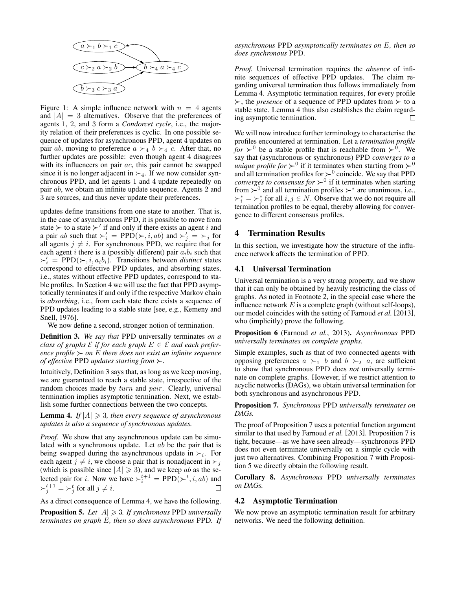

Figure 1: A simple influence network with  $n = 4$  agents and  $|A| = 3$  alternatives. Observe that the preferences of agents 1, 2, and 3 form a *Condorcet cycle*, i.e., the majority relation of their preferences is cyclic. In one possible sequence of updates for asynchronous PPD, agent 4 updates on pair *ab*, moving to preference  $a \succ_4 b \succ_4 c$ . After that, no further updates are possible: even though agent 4 disagrees with its influencers on pair *ac*, this pair cannot be swapped since it is no longer adjacent in  $\succ_4$ . If we now consider synchronous PPD, and let agents 1 and 4 update repeatedly on pair ab, we obtain an infinite update sequence. Agents 2 and 3 are sources, and thus never update their preferences.

updates define transitions from one state to another. That is, in the case of asynchronous PPD, it is possible to move from state  $\succ$  to a state  $\succ'$  if and only if there exists an agent i and a pair ab such that  $\succ_i' = \text{PPD}(\succ, i, ab)$  and  $\succ_j' = \succ_j$  for all agents  $j \neq i$ . For synchronous PPD, we require that for each agent i there is a (possibly different) pair  $a_i b_i$  such that  $\succ_i'$  = PPD( $\succ$ , *i*, *a<sub>i</sub>b<sub>i</sub>*). Transitions between *distinct* states correspond to effective PPD updates, and absorbing states, i.e., states without effective PPD updates, correspond to stable profiles. In Section 4 we will use the fact that PPD asymptotically terminates if and only if the respective Markov chain is *absorbing*, i.e., from each state there exists a sequence of PPD updates leading to a stable state [see, e.g., Kemeny and Snell, 1976].

We now define a second, stronger notion of termination.

Definition 3. *We say that* PPD universally terminates *on a class of graphs*  $\mathcal{E}$  *if for each graph*  $E \in \mathcal{E}$  *and each preference profile*  $\succ$  *on* E *there does not exist an infinite sequence of effective* PPD *updates starting from .*

Intuitively, Definition 3 says that, as long as we keep moving, we are guaranteed to reach a stable state, irrespective of the random choices made by turn and pair. Clearly, universal termination implies asymptotic termination. Next, we establish some further connections between the two concepts.

**Lemma 4.** If  $|A| \ge 3$ , then every sequence of asynchronous *updates is also a sequence of synchronous updates.*

*Proof.* We show that any asynchronous update can be simulated with a synchronous update. Let ab be the pair that is being swapped during the asynchronous update in  $\succ_i$ . For each agent  $j \neq i$ , we choose a pair that is nonadjacent in  $\succ_i$ (which is possible since  $|A| \ge 3$ ), and we keep ab as the selected pair for *i*. Now we have  $\succ_i^{t+1} = \text{PPD}(\succ^t, i, ab)$  and  $\succ_j^{t+1} = \succ_j^t$  for all  $j \neq i$ .  $\Box$ 

As a direct consequence of Lemma 4, we have the following. **Proposition 5.** Let  $|A| \geq 3$ . If synchronous PPD *universally terminates on graph* E*, then so does asynchronous* PPD*. If* *asynchronous* PPD *asymptotically terminates on* E*, then so does synchronous* PPD*.*

*Proof.* Universal termination requires the *absence* of infinite sequences of effective PPD updates. The claim regarding universal termination thus follows immediately from Lemma 4. Asymptotic termination requires, for every profile  $\succ$ , the *presence* of a sequence of PPD updates from  $\succ$  to a stable state. Lemma 4 thus also establishes the claim regarding asymptotic termination.  $\Box$ 

We will now introduce further terminology to characterise the profiles encountered at termination. Let a *termination profile for*  $\succ$ <sup>0</sup> be a stable profile that is reachable from  $\succ$ <sup>0</sup>. We say that (asynchronous or synchronous) PPD *converges to a unique profile for*  $\succ$ <sup>0</sup> if it terminates when starting from  $\succ$ <sup>0</sup> and all termination profiles for  $\succ$ <sup>0</sup> coincide. We say that PPD *converges to consensus for*  $\succ$ <sup>0</sup> if it terminates when starting from  $\succ^0$  and all termination profiles  $\succ^*$  are unanimous, i.e.,  $\succ_i^* = \succ_j^*$  for all  $i, j \in N$ . Observe that we do not require all termination profiles to be equal, thereby allowing for convergence to different consensus profiles.

# 4 Termination Results

In this section, we investigate how the structure of the influence network affects the termination of PPD.

### 4.1 Universal Termination

Universal termination is a very strong property, and we show that it can only be obtained by heavily restricting the class of graphs. As noted in Footnote 2, in the special case where the influence network  $E$  is a complete graph (without self-loops), our model coincides with the setting of Farnoud *et al.* [2013], who (implicitly) prove the following.

Proposition 6 (Farnoud *et al.*, 2013). *Asynchronous* PPD *universally terminates on complete graphs.*

Simple examples, such as that of two connected agents with opposing preferences  $a \succ_1 b$  and  $b \succ_2 a$ , are sufficient to show that synchronous PPD does *not* universally terminate on complete graphs. However, if we restrict attention to acyclic networks (DAGs), we obtain universal termination for both synchronous and asynchronous PPD.

Proposition 7. *Synchronous* PPD *universally terminates on DAGs.*

The proof of Proposition 7 uses a potential function argument similar to that used by Farnoud *et al.* [2013]. Proposition 7 is tight, because—as we have seen already—synchronous PPD does not even terminate universally on a simple cycle with just two alternatives. Combining Proposition 7 with Proposition 5 we directly obtain the following result.

Corollary 8. *Asynchronous* PPD *universally terminates on DAGs.*

#### 4.2 Asymptotic Termination

We now prove an asymptotic termination result for arbitrary networks. We need the following definition.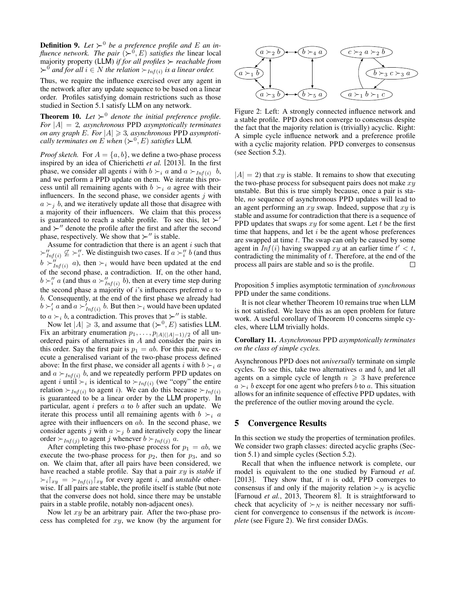**Definition 9.** Let  $\succ^0$  be a preference profile and E an in*fluence network. The pair*  $(\succ^0, E)$  *satisfies the linear local* majority property (LLM) *if for all profiles reachable from*  $\succ$ <sup>0</sup> and for all  $i \in N$  the relation  $\succ_{Inf(i)}$  is a linear order.

Thus, we require the influence exercised over any agent in the network after any update sequence to be based on a linear order. Profiles satisfying domain restrictions such as those studied in Section 5.1 satisfy LLM on any network.

**Theorem 10.** Let  $\succ$ <sup>0</sup> denote the initial preference profile. *For* |A| = 2*, asynchronous* PPD *asymptotically terminates on any graph*  $E$ *. For*  $|A| \ge 3$ *, asynchronous* PPD *asymptotically terminates on E when*  $(\succ^0, E)$  *satisfies* LLM.

*Proof sketch.* For  $A = \{a, b\}$ , we define a two-phase process inspired by an idea of Chierichetti *et al.* [2013]. In the first phase, we consider all agents i with  $b \succ_i a$  and  $a \succ_{Inf(i)} b$ , and we perform a PPD update on them. We iterate this process until all remaining agents with  $b \succ_i a$  agree with their influencers. In the second phase, we consider agents  $j$  with  $a \succ_i b$ , and we iteratively update all those that disagree with a majority of their influencers. We claim that this process is guaranteed to reach a stable profile. To see this, let  $\succ'$ and  $\succ$ <sup>*''*</sup> denote the profile after the first and after the second phase, respectively. We show that  $\succ$ " is stable.

Assume for contradiction that there is an agent  $i$  such that  $\succ''_{Inf(i)} \nsubseteq \succ''_i$ . We distinguish two cases. If  $a \succ''_i b$  (and thus  $b \succ_{Inf(i)}^{\prime\prime} a$ , then  $\succ_i$  would have been updated at the end of the second phase, a contradiction. If, on the other hand,  $b \succ_i'' a$  (and thus  $a \succ_{Inf(i)}'' b$ ), then at every time step during the second phase a majority of  $i$ 's influencers preferred  $a$  to b. Consequently, at the end of the first phase we already had  $b \succ_i' a$  and  $a \succ_{Inf(i)}' b$ . But then  $\succ_i$  would have been updated to  $a \succ_i b$ , a contradiction. This proves that  $\succ''$  is stable.

Now let  $|A| \ge 3$ , and assume that  $(\succ^0, E)$  satisfies LLM. Fix an arbitrary enumeration  $p_1, \ldots, p_{|A|(|A|-1)/2}$  of all unordered pairs of alternatives in A and consider the pairs in this order. Say the first pair is  $p_1 = ab$ . For this pair, we execute a generalised variant of the two-phase process defined above: In the first phase, we consider all agents i with  $b \succ_i a$ and  $a \succ_{Inf(i)} b$ , and we repeatedly perform PPD updates on agent i until  $\succ_i$  is identical to  $\succ_{Inf(i)}$  (we "copy" the entire relation  $\succ_{Inf(i)}$  to agent *i*). We can do this because  $\succ_{Inf(i)}$ is guaranteed to be a linear order by the LLM property. In particular, agent  $i$  prefers  $a$  to  $b$  after such an update. We iterate this process until all remaining agents with  $b \succ_i a$ agree with their influencers on ab. In the second phase, we consider agents j with  $a \succ_j b$  and iteratively copy the linear order  $\succ_{Inf(j)}$  to agent j whenever  $b \succ_{Inf(j)} a$ .

After completing this two-phase process for  $p_1 = ab$ , we execute the two-phase process for  $p_2$ , then for  $p_3$ , and so on. We claim that, after all pairs have been considered, we have reached a stable profile. Say that a pair xy is *stable* if  $\sum_i |_{xy} = \sum_{\text{Inf}(i)} |_{xy}$  for every agent i, and *unstable* otherwise. If all pairs are stable, the profile itself is stable (but note that the converse does not hold, since there may be unstable pairs in a stable profile, notably non-adjacent ones).

Now let  $xy$  be an arbitrary pair. After the two-phase process has completed for  $xy$ , we know (by the argument for



Figure 2: Left: A strongly connected influence network and a stable profile. PPD does not converge to consensus despite the fact that the majority relation is (trivially) acyclic. Right: A simple cycle influence network and a preference profile with a cyclic majority relation. PPD converges to consensus (see Section 5.2).

 $|A| = 2$ ) that xy is stable. It remains to show that executing the two-phase process for subsequent pairs does not make  $xy$ unstable. But this is true simply because, once a pair is stable, *no* sequence of asynchronous PPD updates will lead to an agent performing an  $xy$  swap. Indeed, suppose that  $xy$  is stable and assume for contradiction that there is a sequence of PPD updates that swaps  $xy$  for some agent. Let t be the first time that happens, and let  $i$  be the agent whose preferences are swapped at time  $t$ . The swap can only be caused by some agent in  $Inf(i)$  having swapped  $xy$  at an earlier time  $t' < t$ , contradicting the minimality of  $t$ . Therefore, at the end of the process all pairs are stable and so is the profile.  $\Box$ 

Proposition 5 implies asymptotic termination of *synchronous* PPD under the same conditions.

It is not clear whether Theorem 10 remains true when LLM is not satisfied. We leave this as an open problem for future work. A useful corollary of Theorem 10 concerns simple cycles, where LLM trivially holds.

Corollary 11. *Asynchronous* PPD *asymptotically terminates on the class of simple cycles.*

Asynchronous PPD does not *universally* terminate on simple cycles. To see this, take two alternatives  $a$  and  $b$ , and let all agents on a simple cycle of length  $n \geqslant 3$  have preference  $a \succ_i b$  except for one agent who prefers b to a. This situation allows for an infinite sequence of effective PPD updates, with the preference of the outlier moving around the cycle.

## 5 Convergence Results

In this section we study the properties of termination profiles. We consider two graph classes: directed acyclic graphs (Section 5.1) and simple cycles (Section 5.2).

Recall that when the influence network is complete, our model is equivalent to the one studied by Farnoud *et al.* [2013]. They show that, if  $n$  is odd, PPD converges to consensus if and only if the majority relation  $\succ_N$  is acyclic [Farnoud *et al.*, 2013, Theorem 8]. It is straightforward to check that acyclicity of  $\succ_N$  is neither necessary nor sufficient for convergence to consensus if the network is *incomplete* (see Figure 2). We first consider DAGs.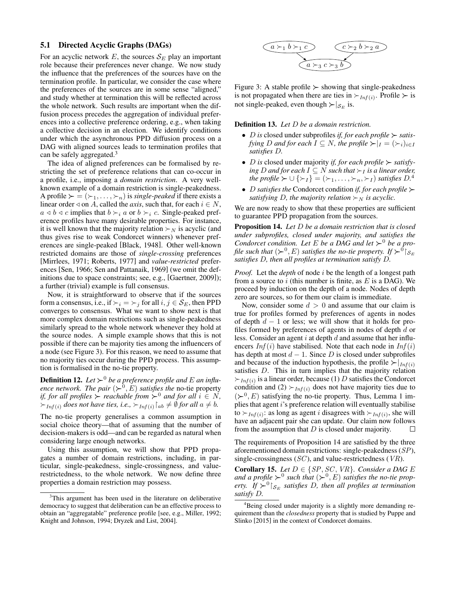#### 5.1 Directed Acyclic Graphs (DAGs)

For an acyclic network  $E$ , the sources  $S_E$  play an important role because their preferences never change. We now study the influence that the preferences of the sources have on the termination profile. In particular, we consider the case where the preferences of the sources are in some sense "aligned," and study whether at termination this will be reflected across the whole network. Such results are important when the diffusion process precedes the aggregation of individual preferences into a collective preference ordering, e.g., when taking a collective decision in an election. We identify conditions under which the asynchronous PPD diffusion process on a DAG with aligned sources leads to termination profiles that can be safely aggregated.<sup>3</sup>

The idea of aligned preferences can be formalised by restricting the set of preference relations that can co-occur in a profile, i.e., imposing a *domain restriction*. A very wellknown example of a domain restriction is single-peakedness. A profile  $\succ = (\succ_1, \ldots, \succ_n)$  is *single-peaked* if there exists a linear order  $\triangleleft$  on A, called the *axis*, such that, for each  $i \in N$ ,  $a \triangleleft b \triangleleft c$  implies that  $b \succ_i a$  or  $b \succ_i c$ . Single-peaked preference profiles have many desirable properties. For instance, it is well known that the majority relation  $\succ_N$  is acyclic (and thus gives rise to weak Condorcet winners) whenever preferences are single-peaked [Black, 1948]. Other well-known restricted domains are those of *single-crossing* preferences [Mirrlees, 1971; Roberts, 1977] and *value-restricted* preferences [Sen, 1966; Sen and Pattanaik, 1969] (we omit the definitions due to space constraints; see, e.g., [Gaertner, 2009]); a further (trivial) example is full consensus.

Now, it is straightforward to observe that if the sources form a consensus, i.e., if  $\succ_i = \succ_j$  for all  $i, j \in S_E$ , then PPD converges to consensus. What we want to show next is that more complex domain restrictions such as single-peakedness similarly spread to the whole network whenever they hold at the source nodes. A simple example shows that this is not possible if there can be majority ties among the influencers of a node (see Figure 3). For this reason, we need to assume that no majority ties occur during the PPD process. This assumption is formalised in the no-tie property.

**Definition 12.** Let  $\succ$ <sup>0</sup> be a preference profile and E an influ*ence network. The pair*  $({\succ}^0, E)$  *satisfies the* no-tie property *if, for all profiles*  $\succ$  *reachable from*  $\succ$ <sup>0</sup> *and for all*  $i \in N$ *,*  $\succ_{Inf(i)}$  *does not have ties, i.e.,*  $\succ_{Inf(i)} \upharpoonright_{ab} \neq \emptyset$  *for all*  $a \neq b$ *.* 

The no-tie property generalises a common assumption in social choice theory—that of assuming that the number of decision-makers is odd—and can be regarded as natural when considering large enough networks.

Using this assumption, we will show that PPD propagates a number of domain restrictions, including, in particular, single-peakedness, single-crossingness, and valuerestrictedness, to the whole network. We now define three properties a domain restriction may possess.

$$
\underbrace{a \succ_1 b \succ_1 c}_{a \succ_3 c \succ_3 b} \underbrace{c \succ_2 b \succ_2 a}_{a}
$$

Figure 3: A stable profile  $\succ$  showing that single-peakedness is not propagated when there are ties in  $\succ_{Inf(i)}$ . Profile  $\succ$  is not single-peaked, even though  $\succ |_{\mathcal{S}_E}$  is.

Definition 13. *Let* D *be a domain restriction.*

- *D* is closed under subprofiles *if, for each profile*  $\succ$  *satisfying D* and for each  $I \subseteq N$ , the profile  $\succ |I| = (\succ_i)_{i \in I}$ *satisfies* D*.*
- *D* is closed under majority *if, for each profile*  $\succ$  *satisfying D* and for each *I* ⊆ *N* such that  $\succ$ <sub>*I*</sub> is a linear order, *the profile*  $\succ \cup {\{\succ_I\}} = (\succ_1, \ldots, \succ_n, \succ_I)$  *satisfies*  $D^A$
- D *satisfies the* Condorcet condition *if, for each profile satisfying* D, the majority relation  $\succ_N$  is acyclic.

We are now ready to show that these properties are sufficient to guarantee PPD propagation from the sources.

Proposition 14. *Let* D *be a domain restriction that is closed under subprofiles, closed under majority, and satisfies the Condorcet condition. Let E be a DAG and let*  $\succ$ <sup>0</sup> *be a pro*file such that  $(\succ^0,E)$  satisfies the no-tie property. If  $\succ^\hat{} \mathcal{O}_{\mid S_E}$ *satisfies* D*, then all profiles at termination satisfy* D*.*

*Proof.* Let the *depth* of node i be the length of a longest path from a source to i (this number is finite, as  $E$  is a DAG). We proceed by induction on the depth of a node. Nodes of depth zero are sources, so for them our claim is immediate.

Now, consider some  $d > 0$  and assume that our claim is true for profiles formed by preferences of agents in nodes of depth  $d - 1$  or less; we will show that it holds for profiles formed by preferences of agents in nodes of depth d or less. Consider an agent  $i$  at depth  $d$  and assume that her influencers  $Inf(i)$  have stabilised. Note that each node in  $Inf(i)$ has depth at most  $d - 1$ . Since D is closed under subprofiles and because of the induction hypothesis, the profile  $\succ |_{Inf(i)}$ satisfies D. This in turn implies that the majority relation  $\succ_{Inf(i)}$  is a linear order, because (1) D satisfies the Condorcet condition and  $(2) \succ_{Inf(i)}$  does not have majority ties due to  $(\succ^0, E)$  satisfying the no-tie property. Thus, Lemma 1 implies that agent i's preference relation will eventually stabilise to  $\succ_{Inf(i)}$ : as long as agent *i* disagrees with  $\succ_{Inf(i)}$ , she will have an adjacent pair she can update. Our claim now follows from the assumption that  $D$  is closed under majority.  $\Box$ 

The requirements of Proposition 14 are satisfied by the three aforementioned domain restrictions: single-peakedness (SP), single-crossingness  $(SC)$ , and value-restrictedness  $(VR)$ .

**Corollary 15.** *Let*  $D \in \{SP, SC, VR\}$ *. Consider a DAG E* and a profile  $\succ^0$  such that  $(\succ^0, E)$  satisfies the no-tie property. If  $\succ^0\!\!\restriction_{\mathcal{S}_E}$  satisfies D, then all profiles at termination *satisfy* D*.*

<sup>&</sup>lt;sup>3</sup>This argument has been used in the literature on deliberative democracy to suggest that deliberation can be an effective process to obtain an "aggregatable" preference profile [see, e.g., Miller, 1992; Knight and Johnson, 1994; Dryzek and List, 2004].

<sup>&</sup>lt;sup>4</sup>Being closed under majority is a slightly more demanding requirement than the *closedness* property that is studied by Puppe and Slinko [2015] in the context of Condorcet domains.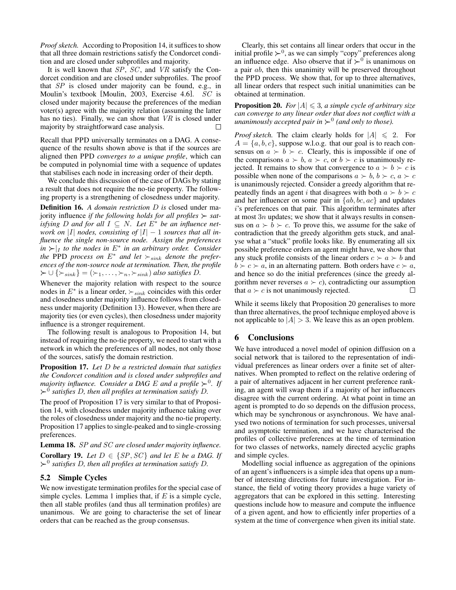*Proof sketch.* According to Proposition 14, it suffices to show that all three domain restrictions satisfy the Condorcet condition and are closed under subprofiles and majority.

It is well known that  $SP$ ,  $SC$ , and  $VR$  satisfy the Condorcet condition and are closed under subprofiles. The proof that SP is closed under majority can be found, e.g., in Moulin's textbook [Moulin, 2003, Exercise 4.6]. SC is closed under majority because the preferences of the median voter(s) agree with the majority relation (assuming the latter has no ties). Finally, we can show that VR is closed under majority by straightforward case analysis.  $\Box$ 

Recall that PPD universally terminates on a DAG. A consequence of the results shown above is that if the sources are aligned then PPD *converges to a unique profile*, which can be computed in polynomial time with a sequence of updates that stabilises each node in increasing order of their depth.

We conclude this discussion of the case of DAGs by stating a result that does not require the no-tie property. The following property is a strengthening of closedness under majority.

Definition 16. *A domain restriction* D *is* closed under majority influence *if the following holds for all profiles*  $\succ$  *satisfying D* and for all  $I \subseteq N$ . Let  $E^*$  be an influence net*work on* |I| *nodes, consisting of*  $|I| - 1$  *sources that all influence the single non-source node. Assign the preferences*  $\int_{I}$  *in*  $\succ$   $\vert_I$  *to the nodes in*  $E^*$  *in an arbitrary order. Consider the* PPD process on  $E^*$  and let  $\succ_{sink}$  denote the prefer*ences of the non-source node at termination. Then, the profile*  $\succ \cup {\succ_{sink}} = (\succ_1, \ldots, \succ_n, \succ_{sink})$  *also satisfies D.* 

Whenever the majority relation with respect to the source nodes in  $E^*$  is a linear order,  $\succ_{sink}$  coincides with this order and closedness under majority influence follows from closedness under majority (Definition 13). However, when there are majority ties (or even cycles), then closedness under majority influence is a stronger requirement.

The following result is analogous to Proposition 14, but instead of requiring the no-tie property, we need to start with a network in which the preferences of all nodes, not only those of the sources, satisfy the domain restriction.

Proposition 17. *Let* D *be a restricted domain that satisfies the Condorcet condition and is closed under subprofiles and majority influence. Consider a DAG E and a profile*  $\succ$ <sup>0</sup>. If <sup>0</sup> *satisfies* D*, then all profiles at termination satisfy* D*.*

The proof of Proposition 17 is very similar to that of Proposition 14, with closedness under majority influence taking over the roles of closedness under majority and the no-tie property. Proposition 17 applies to single-peaked and to single-crossing preferences.

Lemma 18. SP *and* SC *are closed under majority influence.* **Corollary 19.** *Let*  $D \in \{SP, SC\}$  *and let*  $E$  *be a DAG. If*  $\succ$ <sup>0</sup> satisfies D, then all profiles at termination satisfy D.

### 5.2 Simple Cycles

We now investigate termination profiles for the special case of simple cycles. Lemma 1 implies that, if  $E$  is a simple cycle, then all stable profiles (and thus all termination profiles) are unanimous. We are going to characterise the set of linear orders that can be reached as the group consensus.

Clearly, this set contains all linear orders that occur in the initial profile  $\succ^0$ , as we can simply "copy" preferences along an influence edge. Also observe that if  $\succ^0$  is unanimous on a pair ab, then this unanimity will be preserved throughout the PPD process. We show that, for up to three alternatives, all linear orders that respect such initial unanimities can be obtained at termination.

**Proposition 20.** *For*  $|A| \leq 3$ *, a simple cycle of arbitrary size can converge to any linear order that does not conflict with a unanimously accepted pair in*  $\succ$ <sup>0</sup> (and only to those).

*Proof sketch.* The claim clearly holds for  $|A| \le 2$ . For  $A = \{a, b, c\}$ , suppose w.l.o.g. that our goal is to reach consensus on  $a > b > c$ . Clearly, this is impossible if one of the comparisons  $a \succ b$ ,  $a \succ c$ , or  $b \succ c$  is unanimously rejected. It remains to show that convergence to  $a \succ b \succ c$  is possible when none of the comparisons  $a \succ b$ ,  $b \succ c$ ,  $a \succ c$ is unanimously rejected. Consider a greedy algorithm that repeatedly finds an agent i that disagrees with both  $a \succ b \succ c$ and her influencer on some pair in  $\{ab, bc, ac\}$  and updates i's preferences on that pair. This algorithm terminates after at most  $3n$  updates; we show that it always results in consensus on  $a \succ b \succ c$ . To prove this, we assume for the sake of contradiction that the greedy algorithm gets stuck, and analyse what a "stuck" profile looks like. By enumerating all six possible preference orders an agent might have, we show that any stuck profile consists of the linear orders  $c \succ a \succ b$  and  $b \succ c \succ a$ , in an alternating pattern. Both orders have  $c \succ a$ , and hence so do the initial preferences (since the greedy algorithm never reverses  $a \succ c$ , contradicting our assumption that  $a \succ c$  is not unanimously rejected.  $\Box$ 

While it seems likely that Proposition 20 generalises to more than three alternatives, the proof technique employed above is not applicable to  $|A| > 3$ . We leave this as an open problem.

# 6 Conclusions

We have introduced a novel model of opinion diffusion on a social network that is tailored to the representation of individual preferences as linear orders over a finite set of alternatives. When prompted to reflect on the relative ordering of a pair of alternatives adjacent in her current preference ranking, an agent will swap them if a majority of her influencers disagree with the current ordering. At what point in time an agent is prompted to do so depends on the diffusion process, which may be synchronous or asynchronous. We have analysed two notions of termination for such processes, universal and asymptotic termination, and we have characterised the profiles of collective preferences at the time of termination for two classes of networks, namely directed acyclic graphs and simple cycles.

Modelling social influence as aggregation of the opinions of an agent's influencers is a simple idea that opens up a number of interesting directions for future investigation. For instance, the field of voting theory provides a huge variety of aggregators that can be explored in this setting. Interesting questions include how to measure and compute the influence of a given agent, and how to efficiently infer properties of a system at the time of convergence when given its initial state.